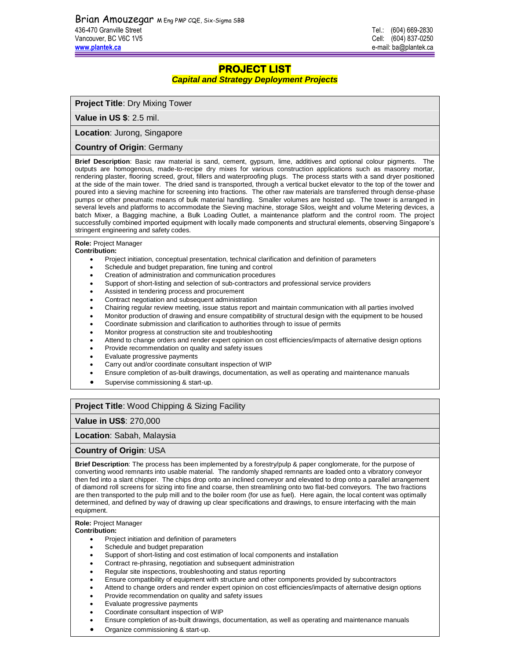# **PROJECT LIST**

### *Capital and Strategy Deployment Projects*

**Project Title**: Dry Mixing Tower

**Value in US \$**: 2.5 mil.

**Location**: Jurong, Singapore

**Country of Origin**: Germany

**Brief Description**: Basic raw material is sand, cement, gypsum, lime, additives and optional colour pigments. The outputs are homogenous, made-to-recipe dry mixes for various construction applications such as masonry mortar, rendering plaster, flooring screed, grout, fillers and waterproofing plugs. The process starts with a sand dryer positioned at the side of the main tower. The dried sand is transported, through a vertical bucket elevator to the top of the tower and poured into a sieving machine for screening into fractions. The other raw materials are transferred through dense-phase pumps or other pneumatic means of bulk material handling. Smaller volumes are hoisted up. The tower is arranged in several levels and platforms to accommodate the Sieving machine, storage Silos, weight and volume Metering devices, a batch Mixer, a Bagging machine, a Bulk Loading Outlet, a maintenance platform and the control room. The project successfully combined imported equipment with locally made components and structural elements, observing Singapore's stringent engineering and safety codes.

#### **Role:** Project Manager

#### **Contribution:**

- Project initiation, conceptual presentation, technical clarification and definition of parameters
- Schedule and budget preparation, fine tuning and control
- Creation of administration and communication procedures
- Support of short-listing and selection of sub-contractors and professional service providers
- Assisted in tendering process and procurement
- Contract negotiation and subsequent administration
- Chairing regular review meeting, issue status report and maintain communication with all parties involved
- Monitor production of drawing and ensure compatibility of structural design with the equipment to be housed
- Coordinate submission and clarification to authorities through to issue of permits
- Monitor progress at construction site and troubleshooting
- Attend to change orders and render expert opinion on cost efficiencies/impacts of alternative design options
- Provide recommendation on quality and safety issues
- Evaluate progressive payments
- Carry out and/or coordinate consultant inspection of WIP
- Ensure completion of as-built drawings, documentation, as well as operating and maintenance manuals
- Supervise commissioning & start-up.

## **Project Title**: Wood Chipping & Sizing Facility

## **Value in US\$**: 270,000

### **Location**: Sabah, Malaysia

## **Country of Origin**: USA

**Brief Description**: The process has been implemented by a forestry/pulp & paper conglomerate, for the purpose of converting wood remnants into usable material. The randomly shaped remnants are loaded onto a vibratory conveyor then fed into a slant chipper. The chips drop onto an inclined conveyor and elevated to drop onto a parallel arrangement of diamond roll screens for sizing into fine and coarse, then streamlining onto two flat-bed conveyors. The two fractions are then transported to the pulp mill and to the boiler room (for use as fuel). Here again, the local content was optimally determined, and defined by way of drawing up clear specifications and drawings, to ensure interfacing with the main equipment.

## **Role:** Project Manager

- Project initiation and definition of parameters
- Schedule and budget preparation
- Support of short-listing and cost estimation of local components and installation
- Contract re-phrasing, negotiation and subsequent administration
- Regular site inspections, troubleshooting and status reporting
- Ensure compatibility of equipment with structure and other components provided by subcontractors
- Attend to change orders and render expert opinion on cost efficiencies/impacts of alternative design options
- Provide recommendation on quality and safety issues
- Evaluate progressive payments
- Coordinate consultant inspection of WIP
- Ensure completion of as-built drawings, documentation, as well as operating and maintenance manuals
- Organize commissioning & start-up.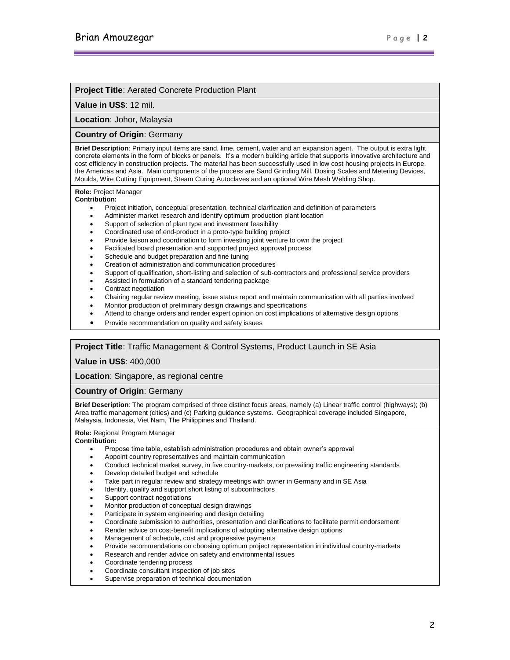## **Project Title**: Aerated Concrete Production Plant

### **Value in US\$**: 12 mil.

# **Location**: Johor, Malaysia

## **Country of Origin**: Germany

**Brief Description**: Primary input items are sand, lime, cement, water and an expansion agent. The output is extra light concrete elements in the form of blocks or panels. It's a modern building article that supports innovative architecture and cost efficiency in construction projects. The material has been successfully used in low cost housing projects in Europe, the Americas and Asia. Main components of the process are Sand Grinding Mill, Dosing Scales and Metering Devices, Moulds, Wire Cutting Equipment, Steam Curing Autoclaves and an optional Wire Mesh Welding Shop.

## **Role:** Project Manager

**Contribution:**

- Project initiation, conceptual presentation, technical clarification and definition of parameters
- Administer market research and identify optimum production plant location
- Support of selection of plant type and investment feasibility
- Coordinated use of end-product in a proto-type building project
- Provide liaison and coordination to form investing joint venture to own the project
- Facilitated board presentation and supported project approval process
- Schedule and budget preparation and fine tuning
- Creation of administration and communication procedures
- Support of qualification, short-listing and selection of sub-contractors and professional service providers
- Assisted in formulation of a standard tendering package
- Contract negotiation
- Chairing regular review meeting, issue status report and maintain communication with all parties involved
- Monitor production of preliminary design drawings and specifications
- Attend to change orders and render expert opinion on cost implications of alternative design options
- Provide recommendation on quality and safety issues

## **Project Title**: Traffic Management & Control Systems, Product Launch in SE Asia

**Value in US\$**: 400,000

**Location**: Singapore, as regional centre

## **Country of Origin**: Germany

**Brief Description**: The program comprised of three distinct focus areas, namely (a) Linear traffic control (highways); (b) Area traffic management (cities) and (c) Parking guidance systems. Geographical coverage included Singapore, Malaysia, Indonesia, Viet Nam, The Philippines and Thailand.

#### **Role:** Regional Program Manager

- Propose time table, establish administration procedures and obtain owner's approval
- Appoint country representatives and maintain communication
- Conduct technical market survey, in five country-markets, on prevailing traffic engineering standards
- Develop detailed budget and schedule
- Take part in regular review and strategy meetings with owner in Germany and in SE Asia
- Identify, qualify and support short listing of subcontractors
- Support contract negotiations
- Monitor production of conceptual design drawings
- Participate in system engineering and design detailing
- Coordinate submission to authorities, presentation and clarifications to facilitate permit endorsement
- Render advice on cost-benefit implications of adopting alternative design options
- Management of schedule, cost and progressive payments
- Provide recommendations on choosing optimum project representation in individual country-markets
- Research and render advice on safety and environmental issues
- Coordinate tendering process
- Coordinate consultant inspection of job sites
- Supervise preparation of technical documentation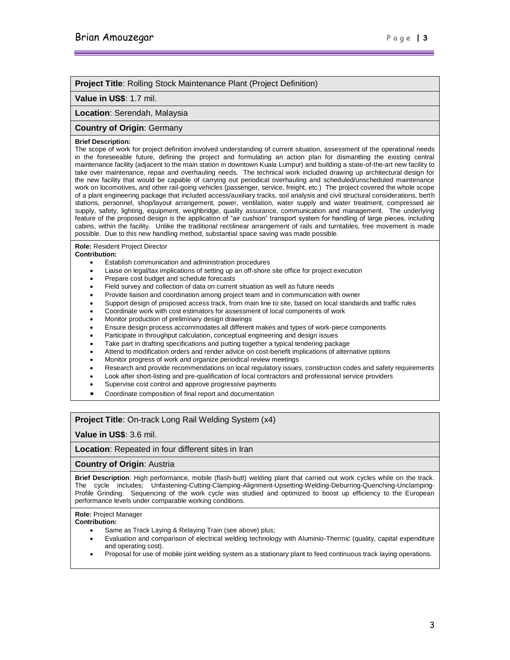### **Project Title**: Rolling Stock Maintenance Plant (Project Definition)

### **Value in US\$**: 1.7 mil.

## **Location**: Serendah, Malaysia

### **Country of Origin**: Germany

#### **Brief Description:**

The scope of work for project definition involved understanding of current situation, assessment of the operational needs in the foreseeable future, defining the project and formulating an action plan for dismantling the existing central maintenance facility (adjacent to the main station in downtown Kuala Lumpur) and building a state-of-the-art new facility to take over maintenance, repair and overhauling needs. The technical work included drawing up architectural design for the new facility that would be capable of carrying out periodical overhauling and scheduled/unscheduled maintenance work on locomotives, and other rail-going vehicles (passenger, service, freight, etc.) The project covered the whole scope of a plant engineering package that included access/auxiliary tracks, soil analysis and civil structural considerations, berth stations, personnel, shop/layout arrangement, power, ventilation, water supply and water treatment, compressed air supply, safety, lighting, equipment, weighbridge, quality assurance, communication and management. The underlying feature of the proposed design is the application of "air cushion" transport system for handling of large pieces, including cabins, within the facility. Unlike the traditional rectilinear arrangement of rails and turntables, free movement is made possible. Due to this new handling method, substantial space saving was made possible.

### **Role:** Resident Project Director

#### **Contribution:**

- Establish communication and administration procedures
- Liaise on legal/tax implications of setting up an off-shore site office for project execution
- Prepare cost budget and schedule forecasts
- Field survey and collection of data on current situation as well as future needs
- Provide liaison and coordination among project team and in communication with owner
- Support design of proposed access track, from main line to site, based on local standards and traffic rules
- Coordinate work with cost estimators for assessment of local components of work
- Monitor production of preliminary design drawings
- Ensure design process accommodates all different makes and types of work-piece components
- Participate in throughput calculation, conceptual engineering and design issues
- Take part in drafting specifications and putting together a typical tendering package
- Attend to modification orders and render advice on cost-benefit implications of alternative options
- Monitor progress of work and organize periodical review meetings
- Research and provide recommendations on local regulatory issues, construction codes and safety requirements
- Look after short-listing and pre-qualification of local contractors and professional service providers
- Supervise cost control and approve progressive payments
- Coordinate composition of final report and documentation

## **Project Title**: On-track Long Rail Welding System (x4)

## **Value in US\$**: 3.6 mil.

### **Location**: Repeated in four different sites in Iran

### **Country of Origin**: Austria

**Brief Description**: High performance, mobile (flash-butt) welding plant that carried out work cycles while on the track. The cycle includes; Unfastening-Cutting-Clamping-Alignment-Upsetting-Welding-Deburring-Quenching-Unclamping-Profile Grinding. Sequencing of the work cycle was studied and optimized to boost up efficiency to the European performance levels under comparable working conditions.

### **Role:** Project Manager

- Same as Track Laying & Relaying Train (see above) plus;
- Evaluation and comparison of electrical welding technology with Aluminio-Thermic (quality, capital expenditure and operating cost).
- Proposal for use of mobile joint welding system as a stationary plant to feed continuous track laying operations.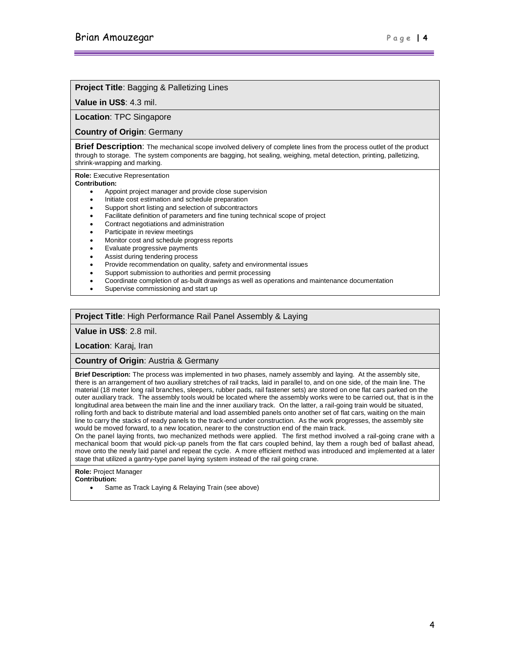## **Project Title**: Bagging & Palletizing Lines

### **Value in US\$**: 4.3 mil.

**Location**: TPC Singapore

### **Country of Origin**: Germany

**Brief Description**: The mechanical scope involved delivery of complete lines from the process outlet of the product through to storage. The system components are bagging, hot sealing, weighing, metal detection, printing, palletizing, shrink-wrapping and marking.

**Role:** Executive Representation

### **Contribution:**

- Appoint project manager and provide close supervision
- Initiate cost estimation and schedule preparation
- Support short listing and selection of subcontractors
- Facilitate definition of parameters and fine tuning technical scope of project
- Contract negotiations and administration
- Participate in review meetings
- Monitor cost and schedule progress reports
- Evaluate progressive payments
- Assist during tendering process
- Provide recommendation on quality, safety and environmental issues
- Support submission to authorities and permit processing
- Coordinate completion of as-built drawings as well as operations and maintenance documentation
- Supervise commissioning and start up

### **Project Title**: High Performance Rail Panel Assembly & Laying

**Value in US\$**: 2.8 mil.

**Location**: Karaj, Iran

**Country of Origin**: Austria & Germany

**Brief Description:** The process was implemented in two phases, namely assembly and laying. At the assembly site, there is an arrangement of two auxiliary stretches of rail tracks, laid in parallel to, and on one side, of the main line. The material (18 meter long rail branches, sleepers, rubber pads, rail fastener sets) are stored on one flat cars parked on the outer auxiliary track. The assembly tools would be located where the assembly works were to be carried out, that is in the longitudinal area between the main line and the inner auxiliary track. On the latter, a rail-going train would be situated, rolling forth and back to distribute material and load assembled panels onto another set of flat cars, waiting on the main line to carry the stacks of ready panels to the track-end under construction. As the work progresses, the assembly site would be moved forward, to a new location, nearer to the construction end of the main track.

On the panel laying fronts, two mechanized methods were applied. The first method involved a rail-going crane with a mechanical boom that would pick-up panels from the flat cars coupled behind, lay them a rough bed of ballast ahead, move onto the newly laid panel and repeat the cycle. A more efficient method was introduced and implemented at a later stage that utilized a gantry-type panel laying system instead of the rail going crane.

**Role:** Project Manager

- **Contribution:**
	- Same as Track Laying & Relaying Train (see above)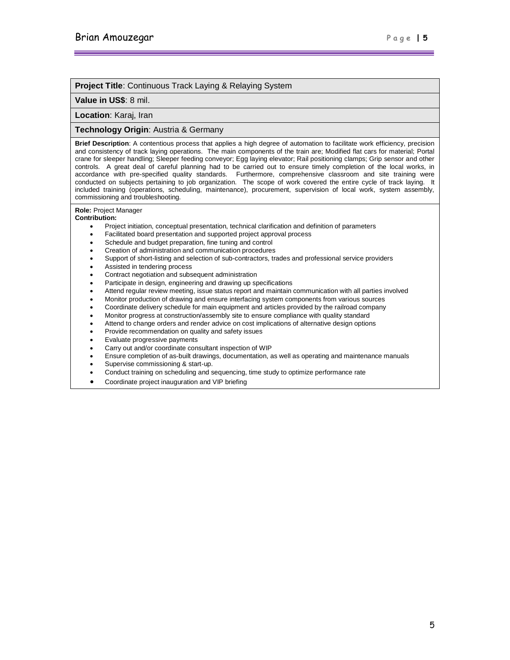## **Project Title**: Continuous Track Laying & Relaying System

### **Value in US\$**: 8 mil.

**Location**: Karaj, Iran

### **Technology Origin**: Austria & Germany

**Brief Description**: A contentious process that applies a high degree of automation to facilitate work efficiency, precision and consistency of track laying operations. The main components of the train are; Modified flat cars for material; Portal crane for sleeper handling; Sleeper feeding conveyor; Egg laying elevator; Rail positioning clamps; Grip sensor and other controls. A great deal of careful planning had to be carried out to ensure timely completion of the local works, in accordance with pre-specified quality standards. Furthermore, comprehensive classroom and site training were conducted on subjects pertaining to job organization. The scope of work covered the entire cycle of track laying. It included training (operations, scheduling, maintenance), procurement, supervision of local work, system assembly, commissioning and troubleshooting.

**Role:** Project Manager

- Project initiation, conceptual presentation, technical clarification and definition of parameters
- Facilitated board presentation and supported project approval process
- Schedule and budget preparation, fine tuning and control
- Creation of administration and communication procedures
- Support of short-listing and selection of sub-contractors, trades and professional service providers
- Assisted in tendering process
- Contract negotiation and subsequent administration
- Participate in design, engineering and drawing up specifications
- Attend regular review meeting, issue status report and maintain communication with all parties involved
- Monitor production of drawing and ensure interfacing system components from various sources
- Coordinate delivery schedule for main equipment and articles provided by the railroad company
- Monitor progress at construction/assembly site to ensure compliance with quality standard
- Attend to change orders and render advice on cost implications of alternative design options
- Provide recommendation on quality and safety issues
- Evaluate progressive payments
- Carry out and/or coordinate consultant inspection of WIP
- Ensure completion of as-built drawings, documentation, as well as operating and maintenance manuals
- Supervise commissioning & start-up.
- Conduct training on scheduling and sequencing, time study to optimize performance rate
- Coordinate project inauguration and VIP briefing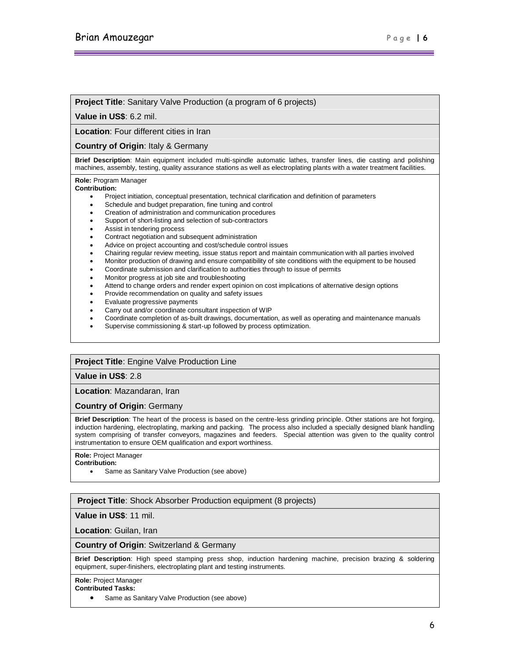### **Project Title:** Sanitary Valve Production (a program of 6 projects)

**Value in US\$**: 6.2 mil.

**Location**: Four different cities in Iran

**Country of Origin**: Italy & Germany

**Brief Description**: Main equipment included multi-spindle automatic lathes, transfer lines, die casting and polishing machines, assembly, testing, quality assurance stations as well as electroplating plants with a water treatment facilities.

**Role:** Program Manager

#### **Contribution:**

- Project initiation, conceptual presentation, technical clarification and definition of parameters
- Schedule and budget preparation, fine tuning and control
- Creation of administration and communication procedures
- Support of short-listing and selection of sub-contractors
- Assist in tendering process
- Contract negotiation and subsequent administration
- Advice on project accounting and cost/schedule control issues
- Chairing regular review meeting, issue status report and maintain communication with all parties involved
- Monitor production of drawing and ensure compatibility of site conditions with the equipment to be housed
- Coordinate submission and clarification to authorities through to issue of permits
- Monitor progress at job site and troubleshooting
- Attend to change orders and render expert opinion on cost implications of alternative design options
- Provide recommendation on quality and safety issues
- Evaluate progressive payments
- Carry out and/or coordinate consultant inspection of WIP
- Coordinate completion of as-built drawings, documentation, as well as operating and maintenance manuals
- Supervise commissioning & start-up followed by process optimization.

### **Project Title**: Engine Valve Production Line

**Value in US\$**: 2.8

**Location**: Mazandaran, Iran

## **Country of Origin**: Germany

**Brief Description**: The heart of the process is based on the centre-less grinding principle. Other stations are hot forging, induction hardening, electroplating, marking and packing. The process also included a specially designed blank handling system comprising of transfer conveyors, magazines and feeders. Special attention was given to the quality control instrumentation to ensure OEM qualification and export worthiness.

**Role:** Project Manager

**Contribution:**

Same as Sanitary Valve Production (see above)

**Project Title**: Shock Absorber Production equipment (8 projects)

**Value in US\$**: 11 mil.

**Location**: Guilan, Iran

### **Country of Origin**: Switzerland & Germany

**Brief Description**: High speed stamping press shop, induction hardening machine, precision brazing & soldering equipment, super-finishers, electroplating plant and testing instruments.

**Role:** Project Manager

**Contributed Tasks:**

Same as Sanitary Valve Production (see above)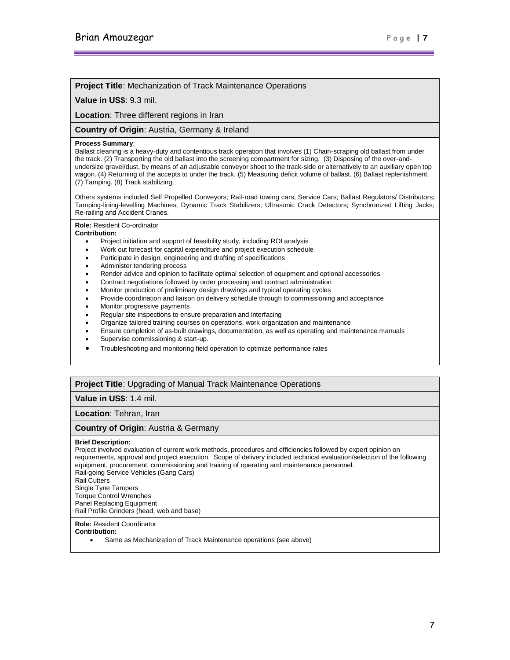## **Project Title**: Mechanization of Track Maintenance Operations

### **Value in US\$**: 9.3 mil.

**Location**: Three different regions in Iran

### **Country of Origin**: Austria, Germany & Ireland

#### **Process Summary**:

Ballast cleaning is a heavy-duty and contentious track operation that involves (1) Chain-scraping old ballast from under the track. (2) Transporting the old ballast into the screening compartment for sizing. (3) Disposing of the over-andundersize gravel/dust, by means of an adjustable conveyor shoot to the track-side or alternatively to an auxiliary open top wagon. (4) Returning of the accepts to under the track. (5) Measuring deficit volume of ballast. (6) Ballast replenishment. (7) Tamping. (8) Track stabilizing.

Others systems included Self Propelled Conveyors; Rail-road towing cars; Service Cars; Ballast Regulators/ Distributors; Tamping-lining-levelling Machines; Dynamic Track Stabilizers; Ultrasonic Crack Detectors; Synchronized Lifting Jacks; Re-railing and Accident Cranes.

**Role:** Resident Co-ordinator

### **Contribution:**

- Project initiation and support of feasibility study, including ROI analysis
- Work out forecast for capital expenditure and project execution schedule
- Participate in design, engineering and drafting of specifications
- Administer tendering process
- Render advice and opinion to facilitate optimal selection of equipment and optional accessories
- Contract negotiations followed by order processing and contract administration
- Monitor production of preliminary design drawings and typical operating cycles
- Provide coordination and liaison on delivery schedule through to commissioning and acceptance
- Monitor progressive payments
- Regular site inspections to ensure preparation and interfacing
- Organize tailored training courses on operations, work organization and maintenance
- Ensure completion of as-built drawings, documentation, as well as operating and maintenance manuals
- Supervise commissioning & start-up.
- Troubleshooting and monitoring field operation to optimize performance rates

## **Project Title**: Upgrading of Manual Track Maintenance Operations

**Value in US\$**: 1.4 mil.

**Location**: Tehran, Iran

## **Country of Origin**: Austria & Germany

### **Brief Description:**

Project involved evaluation of current work methods, procedures and efficiencies followed by expert opinion on requirements, approval and project execution. Scope of delivery included technical evaluation/selection of the following equipment, procurement, commissioning and training of operating and maintenance personnel. Rail-going Service Vehicles (Gang Cars) Rail Cutters Single Tyne Tampers Torque Control Wrenches Panel Replacing Equipment Rail Profile Grinders (head, web and base)

**Role:** Resident Coordinator

**Contribution:**

Same as Mechanization of Track Maintenance operations (see above)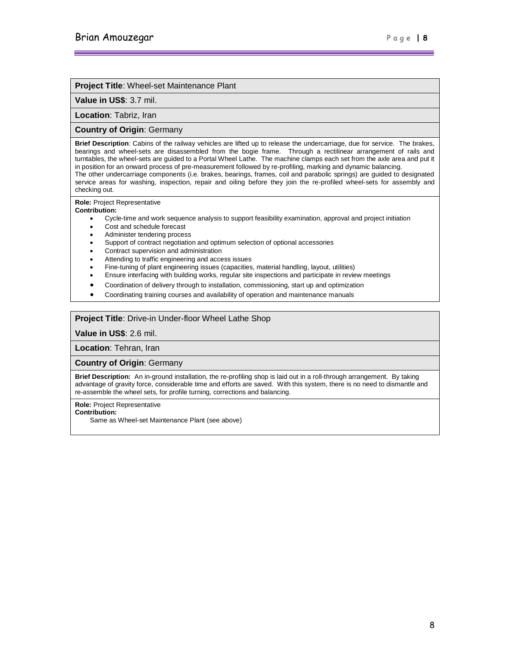### **Project Title**: Wheel-set Maintenance Plant

**Value in US\$**: 3.7 mil.

**Location**: Tabriz, Iran

## **Country of Origin**: Germany

**Brief Description**: Cabins of the railway vehicles are lifted up to release the undercarriage, due for service. The brakes, bearings and wheel-sets are disassembled from the bogie frame. Through a rectilinear arrangement of rails and turntables, the wheel-sets are guided to a Portal Wheel Lathe. The machine clamps each set from the axle area and put it in position for an onward process of pre-measurement followed by re-profiling, marking and dynamic balancing. The other undercarriage components (i.e. brakes, bearings, frames, coil and parabolic springs) are guided to designated service areas for washing, inspection, repair and oiling before they join the re-profiled wheel-sets for assembly and checking out.

**Role:** Project Representative

### **Contribution:**

- Cycle-time and work sequence analysis to support feasibility examination, approval and project initiation
- Cost and schedule forecast
- Administer tendering process
- Support of contract negotiation and optimum selection of optional accessories
- Contract supervision and administration
- Attending to traffic engineering and access issues
- Fine-tuning of plant engineering issues (capacities, material handling, layout, utilities)
- Ensure interfacing with building works, regular site inspections and participate in review meetings
- Coordination of delivery through to installation, commissioning, start up and optimization
- Coordinating training courses and availability of operation and maintenance manuals

## **Project Title**: Drive-in Under-floor Wheel Lathe Shop

**Value in US\$**: 2.6 mil.

**Location**: Tehran, Iran

**Country of Origin**: Germany

**Brief Description:** An in-ground installation, the re-profiling shop is laid out in a roll-through arrangement. By taking advantage of gravity force, considerable time and efforts are saved. With this system, there is no need to dismantle and re-assemble the wheel sets, for profile turning, corrections and balancing.

**Role:** Project Representative

**Contribution:**

Same as Wheel-set Maintenance Plant (see above)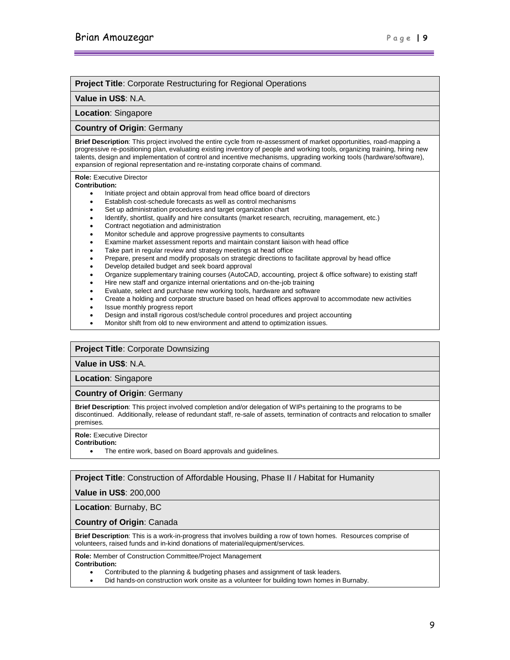## **Project Title**: Corporate Restructuring for Regional Operations

### **Value in US\$**: N.A.

**Location**: Singapore

## **Country of Origin**: Germany

**Brief Description**: This project involved the entire cycle from re-assessment of market opportunities, road-mapping a progressive re-positioning plan, evaluating existing inventory of people and working tools, organizing training, hiring new talents, design and implementation of control and incentive mechanisms, upgrading working tools (hardware/software), expansion of regional representation and re-instating corporate chains of command.

**Role:** Executive Director

### **Contribution:**

- Initiate project and obtain approval from head office board of directors
- Establish cost-schedule forecasts as well as control mechanisms
- Set up administration procedures and target organization chart
- Identify, shortlist, qualify and hire consultants (market research, recruiting, management, etc.)
- Contract negotiation and administration
- Monitor schedule and approve progressive payments to consultants
- Examine market assessment reports and maintain constant liaison with head office
- Take part in regular review and strategy meetings at head office
- Prepare, present and modify proposals on strategic directions to facilitate approval by head office
- Develop detailed budget and seek board approval
- Organize supplementary training courses (AutoCAD, accounting, project & office software) to existing staff
- Hire new staff and organize internal orientations and on-the-job training
- Evaluate, select and purchase new working tools, hardware and software
- Create a holding and corporate structure based on head offices approval to accommodate new activities
- Issue monthly progress report
- Design and install rigorous cost/schedule control procedures and project accounting
- Monitor shift from old to new environment and attend to optimization issues.

## **Project Title**: Corporate Downsizing

### **Value in US\$**: N.A.

**Location**: Singapore

### **Country of Origin**: Germany

**Brief Description**: This project involved completion and/or delegation of WIPs pertaining to the programs to be discontinued. Additionally, release of redundant staff, re-sale of assets, termination of contracts and relocation to smaller premises.

#### **Role:** Executive Director

#### **Contribution:**

The entire work, based on Board approvals and guidelines.

## **Project Title**: Construction of Affordable Housing, Phase II / Habitat for Humanity

**Value in US\$**: 200,000

**Location**: Burnaby, BC

## **Country of Origin**: Canada

**Brief Description**: This is a work-in-progress that involves building a row of town homes. Resources comprise of volunteers, raised funds and in-kind donations of material/equipment/services.

**Role:** Member of Construction Committee/Project Management

- Contributed to the planning & budgeting phases and assignment of task leaders.
- Did hands-on construction work onsite as a volunteer for building town homes in Burnaby.